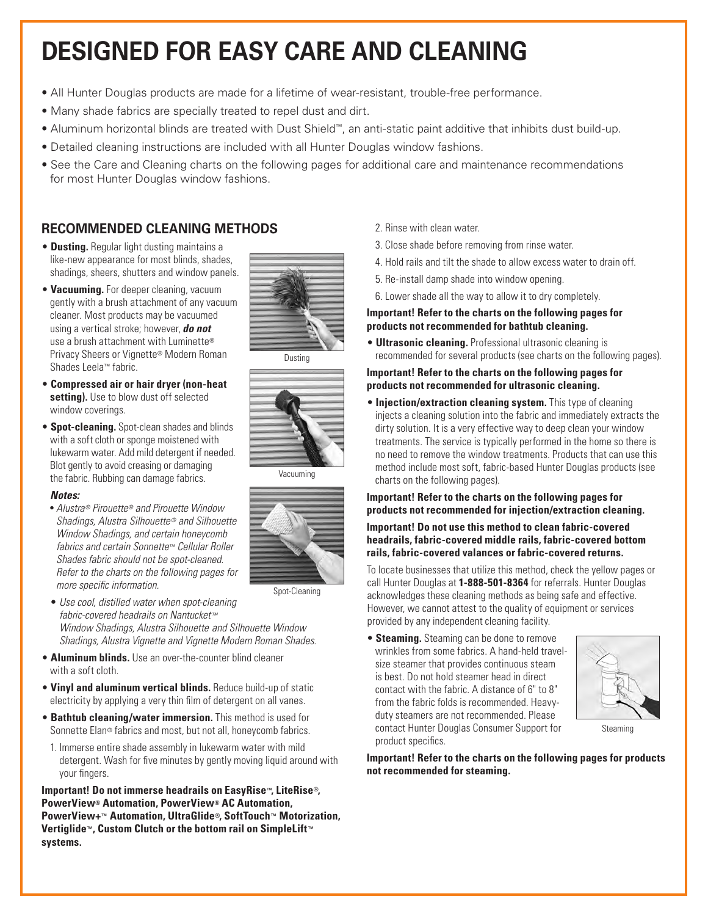# **DESIGNED FOR EASY CARE AND CLEANING**

- All Hunter Douglas products are made for a lifetime of wear-resistant, trouble-free performance.
- Many shade fabrics are specially treated to repel dust and dirt.
- Aluminum horizontal blinds are treated with Dust Shield™, an anti-static paint additive that inhibits dust build-up.
- Detailed cleaning instructions are included with all Hunter Douglas window fashions.
- See the Care and Cleaning charts on the following pages for additional care and maintenance recommendations for most Hunter Douglas window fashions.

#### **RECOMMENDED CLEANING METHODS**

- **Dusting.** Regular light dusting maintains a like-new appearance for most blinds, shades, shadings, sheers, shutters and window panels.
- **Vacuuming.** For deeper cleaning, vacuum gently with a brush attachment of any vacuum cleaner. Most products may be vacuumed using a vertical stroke; however, *do not* use a brush attachment with Luminette® Privacy Sheers or Vignette® Modern Roman Shades Leela™ fabric.
- **Compressed air or hair dryer (non-heat setting).** Use to blow dust off selected window coverings.
- **Spot-cleaning.** Spot-clean shades and blinds with a soft cloth or sponge moistened with lukewarm water. Add mild detergent if needed. Blot gently to avoid creasing or damaging the fabric. Rubbing can damage fabrics.

#### *Notes:*

- *Alustra® Pirouette® and Pirouette Window Shadings, Alustra Silhouette ® and Silhouette Window Shadings, and certain honeycomb fabrics and certain Sonnette™ Cellular Roller Shades fabric should not be spot-cleaned. Refer to the charts on the following pages for more specific information.*
- *Use cool, distilled water when spot-cleaning fabric-covered headrails on Nantucket™ Window Shadings, Alustra Silhouette and Silhouette Window Shadings, Alustra Vignette and Vignette Modern Roman Shades.*
- **Aluminum blinds.** Use an over-the-counter blind cleaner with a soft cloth.
- **Vinyl and aluminum vertical blinds.** Reduce build-up of static electricity by applying a very thin film of detergent on all vanes.
- **Bathtub cleaning/water immersion.** This method is used for Sonnette Elan® fabrics and most, but not all, honeycomb fabrics.
- 1. Immerse entire shade assembly in lukewarm water with mild detergent. Wash for five minutes by gently moving liquid around with your fingers.

**Important! Do not immerse headrails on EasyRise™, LiteRise**®**, PowerView® Automation, PowerView® AC Automation, PowerView+™ Automation, UltraGlide®, SoftTouch™ Motorization, Vertiglide™, Custom Clutch or the bottom rail on SimpleLift™ systems.**

- 2. Rinse with clean water.
- 3. Close shade before removing from rinse water.
- 4. Hold rails and tilt the shade to allow excess water to drain off.
- 5. Re-install damp shade into window opening.
- 6. Lower shade all the way to allow it to dry completely.

#### **Important! Refer to the charts on the following pages for products not recommended for bathtub cleaning.**

• **Ultrasonic cleaning.** Professional ultrasonic cleaning is recommended for several products (see charts on the following pages).

#### **Important! Refer to the charts on the following pages for products not recommended for ultrasonic cleaning.**

**• Injection/extraction cleaning system.** This type of cleaning injects a cleaning solution into the fabric and immediately extracts the dirty solution. It is a very effective way to deep clean your window treatments. The service is typically performed in the home so there is no need to remove the window treatments. Products that can use this method include most soft, fabric-based Hunter Douglas products (see charts on the following pages).

#### **Important! Refer to the charts on the following pages for products not recommended for injection/extraction cleaning.**

**Important! Do not use this method to clean fabric-covered headrails, fabric-covered middle rails, fabric-covered bottom rails, fabric-covered valances or fabric-covered returns.**

To locate businesses that utilize this method, check the yellow pages or call Hunter Douglas at **1-888-501-8364** for referrals. Hunter Douglas acknowledges these cleaning methods as being safe and effective. However, we cannot attest to the quality of equipment or services provided by any independent cleaning facility.

• **Steaming.** Steaming can be done to remove wrinkles from some fabrics. A hand-held travelsize steamer that provides continuous steam is best. Do not hold steamer head in direct contact with the fabric. A distance of 6" to 8" from the fabric folds is recommended. Heavyduty steamers are not recommended. Please contact Hunter Douglas Consumer Support for product specifics.



Steaming

**Important! Refer to the charts on the following pages for products not recommended for steaming.** 





Vacuuming



Spot-Cleaning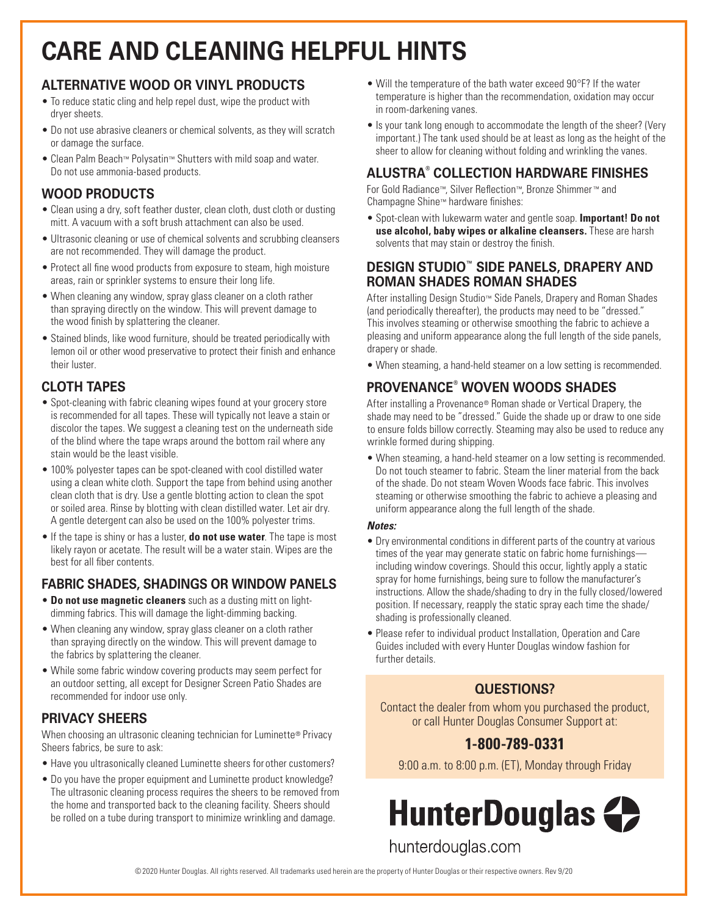# **CARE AND CLEANING HELPFUL HINTS**

#### **ALTERNATIVE WOOD OR VINYL PRODUCTS**

- To reduce static cling and help repel dust, wipe the product with dryer sheets.
- Do not use abrasive cleaners or chemical solvents, as they will scratch or damage the surface.
- Clean Palm Beach™ Polysatin™ Shutters with mild soap and water. Do not use ammonia-based products.

### **WOOD PRODUCTS**

- Clean using a dry, soft feather duster, clean cloth, dust cloth or dusting mitt. A vacuum with a soft brush attachment can also be used.
- Ultrasonic cleaning or use of chemical solvents and scrubbing cleansers are not recommended. They will damage the product.
- Protect all fine wood products from exposure to steam, high moisture areas, rain or sprinkler systems to ensure their long life.
- When cleaning any window, spray glass cleaner on a cloth rather than spraying directly on the window. This will prevent damage to the wood finish by splattering the cleaner.
- Stained blinds, like wood furniture, should be treated periodically with lemon oil or other wood preservative to protect their finish and enhance their luster.

## **CLOTH TAPES**

- Spot-cleaning with fabric cleaning wipes found at your grocery store is recommended for all tapes. These will typically not leave a stain or discolor the tapes. We suggest a cleaning test on the underneath side of the blind where the tape wraps around the bottom rail where any stain would be the least visible.
- 100% polyester tapes can be spot-cleaned with cool distilled water using a clean white cloth. Support the tape from behind using another clean cloth that is dry. Use a gentle blotting action to clean the spot or soiled area. Rinse by blotting with clean distilled water. Let air dry. A gentle detergent can also be used on the 100% polyester trims.
- If the tape is shiny or has a luster, **do not use water**. The tape is most likely rayon or acetate. The result will be a water stain. Wipes are the best for all fiber contents.

## **FABRIC SHADES, SHADINGS OR WINDOW PANELS**

- **Do not use magnetic cleaners** such as a dusting mitt on lightdimming fabrics. This will damage the light-dimming backing.
- When cleaning any window, spray glass cleaner on a cloth rather than spraying directly on the window. This will prevent damage to the fabrics by splattering the cleaner.
- While some fabric window covering products may seem perfect for an outdoor setting, all except for Designer Screen Patio Shades are recommended for indoor use only.

#### **PRIVACY SHEERS**

When choosing an ultrasonic cleaning technician for Luminette® Privacy Sheers fabrics, be sure to ask:

- Have you ultrasonically cleaned Luminette sheers for other customers?
- Do you have the proper equipment and Luminette product knowledge? The ultrasonic cleaning process requires the sheers to be removed from the home and transported back to the cleaning facility. Sheers should be rolled on a tube during transport to minimize wrinkling and damage.
- Will the temperature of the bath water exceed 90°F? If the water temperature is higher than the recommendation, oxidation may occur in room-darkening vanes.
- Is your tank long enough to accommodate the length of the sheer? (Very important.) The tank used should be at least as long as the height of the sheer to allow for cleaning without folding and wrinkling the vanes.

### **ALUSTRA® COLLECTION HARDWARE FINISHES**

For Gold Radiance™, Silver Reflection™, Bronze Shimmer ™ and Champagne Shine™ hardware finishes:

• Spot-clean with lukewarm water and gentle soap. **Important! Do not use alcohol, baby wipes or alkaline cleansers.** These are harsh solvents that may stain or destroy the finish.

#### **DESIGN STUDIO™ SIDE PANELS, DRAPERY AND ROMAN SHADES ROMAN SHADES**

After installing Design Studio™ Side Panels, Drapery and Roman Shades (and periodically thereafter), the products may need to be "dressed." This involves steaming or otherwise smoothing the fabric to achieve a pleasing and uniform appearance along the full length of the side panels, drapery or shade.

• When steaming, a hand-held steamer on a low setting is recommended.

## **PROVENANCE® WOVEN WOODS SHADES**

After installing a Provenance® Roman shade or Vertical Drapery, the shade may need to be "dressed." Guide the shade up or draw to one side to ensure folds billow correctly. Steaming may also be used to reduce any wrinkle formed during shipping.

• When steaming, a hand-held steamer on a low setting is recommended. Do not touch steamer to fabric. Steam the liner material from the back of the shade. Do not steam Woven Woods face fabric. This involves steaming or otherwise smoothing the fabric to achieve a pleasing and uniform appearance along the full length of the shade.

#### *Notes:*

- Dry environmental conditions in different parts of the country at various times of the year may generate static on fabric home furnishings including window coverings. Should this occur, lightly apply a static spray for home furnishings, being sure to follow the manufacturer's instructions. Allow the shade/shading to dry in the fully closed/lowered position. If necessary, reapply the static spray each time the shade/ shading is professionally cleaned.
- Please refer to individual product Installation, Operation and Care Guides included with every Hunter Douglas window fashion for further details.

## **QUESTIONS?**

Contact the dealer from whom you purchased the product, or call Hunter Douglas Consumer Support at:

## **1-800-789-0331**

9:00 a.m. to 8:00 p.m. (ET), Monday through Friday



hunterdouglas.com

©2020 Hunter Douglas. All rights reserved. All trademarks used herein are the property of Hunter Douglas or their respective owners. Rev 9/20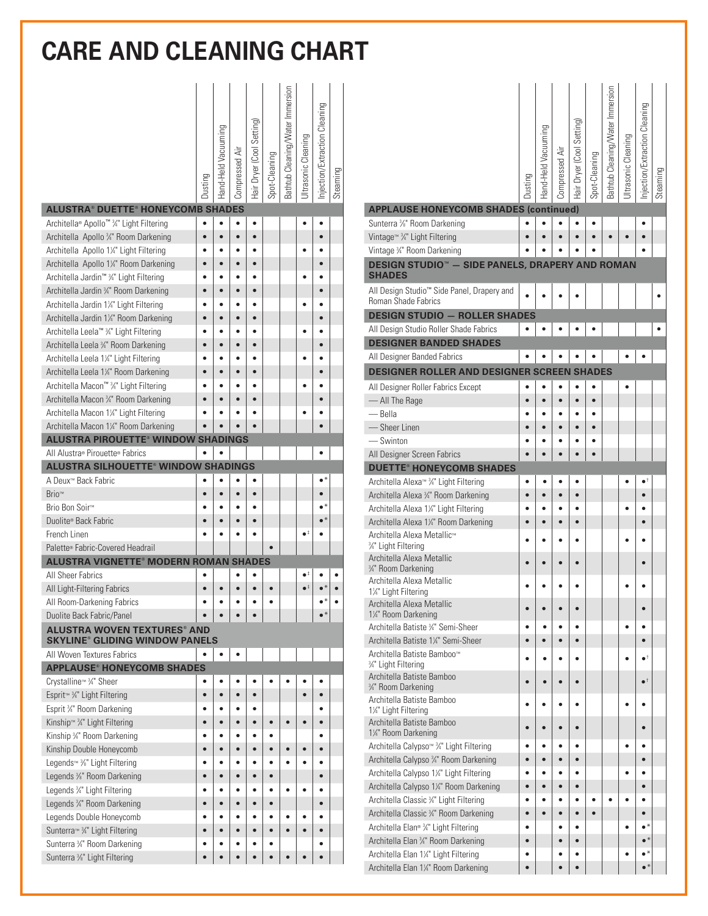## **CARE AND CLEANING CHART**

|                                                                    | Dusting   | Hand-Held Vacuuming | Compressed Air | Hair Dryer (Cool Setting | Spot-Cleaning | Bathtub Cleaning/Water Immersion | JItrasonic Cleaning  | Injection/Extraction Cleaning | Steaming |
|--------------------------------------------------------------------|-----------|---------------------|----------------|--------------------------|---------------|----------------------------------|----------------------|-------------------------------|----------|
| <b>ALUSTRA® DUETTE® HONEYCOMB SHADES</b>                           |           |                     |                |                          |               |                                  |                      |                               |          |
| Architella® Apollo™ ¾" Light Filtering                             | $\bullet$ | $\bullet$           | $\bullet$      | $\bullet$                |               |                                  |                      |                               |          |
| Architella Apollo 3/4" Room Darkening                              | $\bullet$ | $\bullet$           | $\bullet$      | $\bullet$                |               |                                  |                      | ė                             |          |
| Architella Apollo 1¼" Light Filtering                              |           |                     |                |                          |               |                                  |                      |                               |          |
| Architella Apollo 1¼" Room Darkening                               |           |                     |                |                          |               |                                  |                      |                               |          |
| Architella Jardin™ 3/4" Light Filtering                            |           |                     |                |                          |               |                                  |                      |                               |          |
| Architella Jardin 34" Room Darkening                               |           |                     |                |                          |               |                                  |                      |                               |          |
| Architella Jardin 1¼" Light Filtering                              |           |                     |                |                          |               |                                  |                      |                               |          |
| Architella Jardin 1¼" Room Darkening                               |           |                     |                |                          |               |                                  |                      |                               |          |
| Architella Leela™ 34" Light Filtering                              |           |                     |                |                          |               |                                  |                      |                               |          |
| Architella Leela 3/4" Room Darkening                               |           | ۵                   | $\bullet$      |                          |               |                                  |                      | ė                             |          |
| Architella Leela 1¼" Light Filtering                               |           |                     |                |                          |               |                                  |                      |                               |          |
| Architella Leela 1¼" Room Darkening                                |           | ۵                   |                |                          |               |                                  |                      | ė                             |          |
| Architella Macon™ 3/4" Light Filtering                             |           |                     |                |                          |               |                                  |                      |                               |          |
| Architella Macon 34" Room Darkening                                |           |                     |                | $\bullet$                |               |                                  |                      |                               |          |
| Architella Macon 1¼" Light Filtering                               |           |                     |                |                          |               |                                  |                      |                               |          |
| Architella Macon 1¼" Room Darkening                                |           |                     |                |                          |               |                                  |                      |                               |          |
| <b>ALUSTRA PIROUETTE® WINDOW SHADINGS</b>                          |           |                     |                |                          |               |                                  |                      |                               |          |
| All Alustra® Pirouette® Fabrics                                    |           | $\bullet$           |                |                          |               |                                  |                      |                               |          |
| <b>ALUSTRA SILHOUETTE® WINDOW SHADINGS</b>                         |           |                     |                |                          |               |                                  |                      |                               |          |
| A Deux™ Back Fabric                                                |           |                     |                |                          |               |                                  |                      |                               |          |
| Brio™                                                              |           | $\bullet$           | é              | $\bullet$                |               |                                  |                      |                               |          |
| Brio Bon Soir™                                                     |           | ٠                   |                |                          |               |                                  |                      | $\bullet^*$                   |          |
| Duolite® Back Fabric<br>French Linen                               |           |                     |                |                          |               |                                  | $\bullet^{\ddagger}$ |                               |          |
| Palette® Fabric-Covered Headrail                                   |           |                     |                |                          |               |                                  |                      |                               |          |
| <b>ALUSTRA VIGNETTE<sup>®</sup> MODERN ROMAN SHADES</b>            |           |                     |                |                          |               |                                  |                      |                               |          |
| All Sheer Fabrics                                                  |           |                     |                |                          |               |                                  | $\bullet^{\ddagger}$ |                               |          |
| All Light-Filtering Fabrics                                        |           |                     |                |                          |               |                                  | $\bullet^{\ddagger}$ |                               |          |
| All Room-Darkening Fabrics                                         |           |                     |                |                          |               |                                  |                      |                               |          |
| Duolite Back Fabric/Panel                                          |           |                     |                |                          |               |                                  |                      | $\bullet^*$                   |          |
| <b>ALUSTRA WOVEN TEXTURES® AND</b>                                 |           |                     |                |                          |               |                                  |                      |                               |          |
| <b>SKYLINE® GLIDING WINDOW PANELS</b>                              |           |                     |                |                          |               |                                  |                      |                               |          |
| All Woven Textures Fabrics                                         |           | $\bullet$           | $\bullet$      |                          |               |                                  |                      |                               |          |
| <b>APPLAUSE® HONEYCOMB SHADES</b>                                  |           |                     |                |                          |               |                                  |                      |                               |          |
| Crystalline <sup>™</sup> 3 <sup>4</sup> Sheer                      |           | ٠                   |                |                          |               |                                  |                      |                               |          |
| Esprit <sup>™</sup> <sup>3</sup> /4" Light Filtering               | $\bullet$ | $\bullet$           | $\bullet$      | $\bullet$                |               |                                  | $\bullet$            | $\bullet$                     |          |
| Esprit 3/4" Room Darkening                                         | ٠         | $\bullet$           |                |                          |               |                                  |                      | ٠                             |          |
| Kinship <sup>™</sup> <sup>3</sup> /4" Light Filtering              | ō         | $\bullet$           |                |                          |               |                                  | $\bullet$            | $\bullet$                     |          |
| Kinship 34" Room Darkening                                         |           | ٠                   |                |                          |               |                                  |                      |                               |          |
| Kinship Double Honeycomb                                           | $\bullet$ | $\bullet$           | $\bullet$      | $\bullet$                |               |                                  | $\bullet$            | $\bullet$                     |          |
| Legends <sup>™</sup> <sup>3</sup> / <sub>8</sub> " Light Filtering |           |                     |                |                          |               |                                  |                      |                               |          |
| Legends 3/8" Room Darkening                                        | $\bullet$ | $\bullet$           | $\bullet$      | ò                        |               |                                  |                      | $\bullet$                     |          |
| Legends 3/4" Light Filtering                                       |           |                     |                |                          |               |                                  |                      |                               |          |
| Legends 3/4" Room Darkening                                        | $\bullet$ | $\bullet$           | $\bullet$      |                          | $\bullet$     |                                  |                      | $\bullet$                     |          |
| Legends Double Honeycomb                                           | ٠         | $\bullet$           | ٠              |                          |               |                                  |                      | ٠                             |          |
| Sunterra™ 3⁄4" Light Filtering                                     | $\bullet$ | $\bullet$           | $\bullet$      |                          | $\bullet$     |                                  |                      | $\bullet$                     |          |
| Sunterra 3/4" Room Darkening                                       | ۰         | ٠                   |                |                          |               |                                  |                      | ٠                             |          |
| Sunterra <sup>3</sup> / <sub>8</sub> " Light Filtering             |           |                     |                |                          |               |                                  |                      |                               |          |

|                                                                                      | Dusting   | Hand-Held Vacuuming | Compressed Air         | Hair Dryer (Cool Setting) | Spot-Cleaning | Bathtub Cleaning/Water Immersion | Jitrasonic Cleaning | Injection/Extraction Cleaning | Steaming |
|--------------------------------------------------------------------------------------|-----------|---------------------|------------------------|---------------------------|---------------|----------------------------------|---------------------|-------------------------------|----------|
| <b>APPLAUSE HONEYCOMB SHADES (continued)</b>                                         |           |                     |                        |                           |               |                                  |                     |                               |          |
| Sunterra %" Room Darkening                                                           |           |                     |                        | $\bullet$                 |               |                                  |                     |                               |          |
| Vintage <sup>™</sup> <sup>3</sup> /4 <sup></sup> Light Filtering                     |           |                     |                        | ò                         | $\bullet$     |                                  |                     |                               |          |
| Vintage 3/4" Room Darkening                                                          |           |                     |                        |                           |               |                                  |                     |                               |          |
| <b>DESIGN STUDIO<sup>™</sup> - SIDE PANELS, DRAPERY AND ROMAN</b><br><b>SHADES</b>   |           |                     |                        |                           |               |                                  |                     |                               |          |
| All Design Studio <sup>™</sup> Side Panel, Drapery and<br><b>Roman Shade Fabrics</b> |           |                     |                        |                           |               |                                  |                     |                               |          |
| <b>DESIGN STUDIO - ROLLER SHADES</b>                                                 |           |                     |                        |                           |               |                                  |                     |                               |          |
| All Design Studio Roller Shade Fabrics                                               |           |                     |                        |                           |               |                                  |                     |                               |          |
| <b>DESIGNER BANDED SHADES</b>                                                        |           |                     |                        |                           |               |                                  |                     |                               |          |
| All Designer Banded Fabrics                                                          |           |                     |                        |                           |               |                                  |                     |                               |          |
| DESIGNER ROLLER AND DESIGNER SCREEN SHADES                                           |           |                     |                        |                           |               |                                  |                     |                               |          |
| All Designer Roller Fabrics Except                                                   |           |                     |                        | ٠                         | ٠             |                                  |                     |                               |          |
| - All The Rage                                                                       |           |                     | $\bullet$              | $\bullet$                 | $\bullet$     |                                  |                     |                               |          |
| — Bella                                                                              |           |                     |                        |                           |               |                                  |                     |                               |          |
| — Sheer Linen                                                                        |           |                     | $\bullet$              | $\bullet$                 | $\bullet$     |                                  |                     |                               |          |
| -Swinton                                                                             |           |                     |                        |                           |               |                                  |                     |                               |          |
| All Designer Screen Fabrics                                                          | $\bullet$ | $\bullet$           | $\bullet$              | $\bullet$                 | $\bullet$     |                                  |                     |                               |          |
| <b>DUETTE<sup>®</sup> HONEYCOMB SHADES</b>                                           |           |                     |                        |                           |               |                                  |                     |                               |          |
| Architella Alexa <sup>™</sup> 34" Light Filtering                                    | ٠         |                     |                        | $\bullet$                 |               |                                  |                     | $\bullet^+$                   |          |
| Architella Alexa 3/4" Room Darkening                                                 | $\bullet$ | $\bullet$           | $\bullet$              | $\bullet$                 |               |                                  |                     | $\bullet$                     |          |
| Architella Alexa 1¼" Light Filtering                                                 | ė         | ă                   | $\bullet$<br>$\bullet$ | $\bullet$<br>$\bullet$    |               |                                  |                     | $\bullet$                     |          |
| Architella Alexa 1¼" Room Darkening<br>Architella Alexa Metallic™                    |           |                     |                        |                           |               |                                  |                     |                               |          |
| 3/4" Light Filtering<br>Architella Alexa Metallic                                    |           |                     |                        |                           |               |                                  |                     |                               |          |
| 3/4" Room Darkening                                                                  |           |                     |                        | ٠                         |               |                                  |                     |                               |          |
| Architella Alexa Metallic<br>1¼" Light Filtering                                     |           |                     |                        |                           |               |                                  |                     |                               |          |
| Architella Alexa Metallic<br>1¼" Room Darkening                                      |           |                     |                        | $\bullet$                 |               |                                  |                     |                               |          |
| Architella Batiste 34" Semi-Sheer                                                    |           |                     |                        | ٠                         |               |                                  |                     | $\bullet$                     |          |
| Architella Batiste 1¼" Semi-Sheer                                                    | $\bullet$ | $\bullet$           | $\bullet$              | $\bullet$                 |               |                                  |                     | $\bullet$                     |          |
| Architella Batiste Bamboo™<br>3/4" Light Filtering                                   |           | ٠                   |                        | ٠                         |               |                                  |                     | $\bullet^{\dagger}$           |          |
| Architella Batiste Bamboo<br>3⁄4" Room Darkening                                     |           | $\bullet$           | $\bullet$              | $\bullet$                 |               |                                  |                     | $\bullet^+$                   |          |
| Architella Batiste Bamboo<br>1¼" Light Filtering                                     | $\bullet$ | $\bullet$           | $\bullet$              | $\bullet$                 |               |                                  | $\bullet$           | $\bullet$                     |          |
| Architella Batiste Bamboo<br>1¼" Room Darkening                                      |           |                     |                        | ٠                         |               |                                  |                     |                               |          |
| Architella Calypso <sup>™ 3</sup> /4" Light Filtering                                | ٠         | $\bullet$           |                        | ٠                         |               |                                  |                     | ٠                             |          |
| Architella Calypso 3/4" Room Darkening                                               | $\bullet$ | $\bullet$           | $\bullet$              | $\bullet$                 |               |                                  |                     | $\bullet$                     |          |
| Architella Calypso 11/4" Light Filtering                                             |           |                     | $\bullet$              | ٠                         |               |                                  |                     |                               |          |
| Architella Calypso 1¼" Room Darkening                                                | $\bullet$ | $\bullet$           | $\bullet$              | $\bullet$                 |               |                                  |                     | $\bullet$                     |          |
| Architella Classic 34" Light Filtering                                               | ė         | $\bullet$           | $\bullet$              | $\bullet$                 | ė             |                                  |                     | $\bullet$                     |          |
| Architella Classic 3/4" Room Darkening                                               | $\bullet$ | $\bullet$           | $\bullet$              | $\bullet$                 | $\bullet$     |                                  |                     | $\bullet$                     |          |
| Architella Elan® 3/4" Light Filtering                                                | $\bullet$ |                     | $\bullet$              | $\bullet$                 |               |                                  |                     | $\bullet^*$                   |          |
| Architella Elan 3/4" Room Darkening                                                  |           |                     | $\bullet$              | $\bullet$                 |               |                                  |                     | $\bullet^*$                   |          |
| Architella Elan 1¼" Light Filtering                                                  |           |                     |                        | ٠                         |               |                                  |                     | $\bullet^*$                   |          |
| Architella Elan 1¼" Room Darkening                                                   | ō         |                     | $\bullet$              | $\bullet$                 |               |                                  |                     | $\bullet^*$                   |          |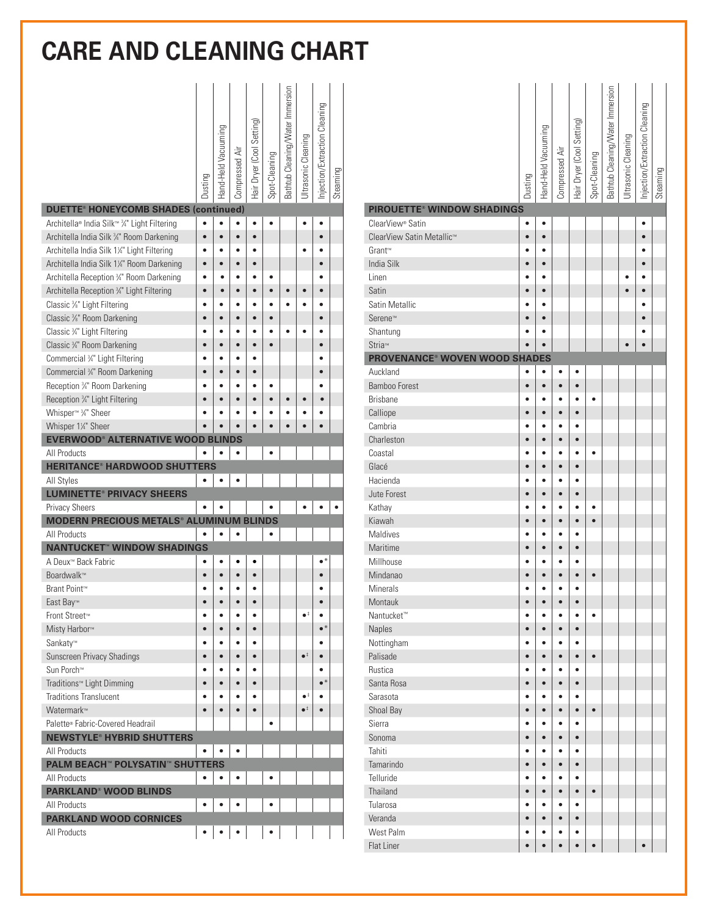## **CARE AND CLEANING CHART**

|                                                        | Dusting   | Hand-Held Vacuuming | Compressed Air | Hair Dryer (Cool Setting) | Spot-Cleaning | Bathtub Cleaning/Water Immersion | JItrasonic Cleaning  | Injection/Extraction Cleaning | Steaming |
|--------------------------------------------------------|-----------|---------------------|----------------|---------------------------|---------------|----------------------------------|----------------------|-------------------------------|----------|
| <b>DUETTE<sup>®</sup> HONEYCOMB SHADES (continued)</b> |           |                     |                |                           |               |                                  |                      |                               |          |
| Architella® India Silk™ 3/4" Light Filtering           | $\bullet$ | $\bullet$           | $\bullet$      | $\bullet$                 |               |                                  |                      |                               |          |
| Architella India Silk 3/4" Room Darkening              | $\bullet$ |                     | $\bullet$      | $\bullet$                 |               |                                  |                      |                               |          |
| Architella India Silk 1¼" Light Filtering              |           |                     |                |                           |               |                                  |                      |                               |          |
| Architella India Silk 1¼" Room Darkening               | ō         |                     |                |                           |               |                                  |                      |                               |          |
| Architella Reception 34" Room Darkening                |           |                     |                |                           |               |                                  |                      |                               |          |
| Architella Reception 3/4" Light Filtering              |           |                     |                |                           |               |                                  |                      |                               |          |
| Classic %" Light Filtering                             |           |                     |                |                           |               |                                  |                      |                               |          |
| Classic %" Room Darkening                              |           |                     |                |                           |               |                                  |                      |                               |          |
| Classic 3/4" Light Filtering                           |           |                     |                |                           |               |                                  |                      |                               |          |
| Classic 3/4" Room Darkening                            |           |                     | $\bullet$      | $\bullet$                 |               |                                  |                      |                               |          |
| Commercial 3/4" Light Filtering                        |           |                     | ٠              |                           |               |                                  |                      |                               |          |
| Commercial 3/4" Room Darkening                         |           |                     | ۵              | ä                         |               |                                  |                      |                               |          |
| Reception 3/4" Room Darkening                          |           |                     |                |                           |               |                                  |                      |                               |          |
| Reception 34" Light Filtering                          |           |                     |                |                           |               |                                  |                      | ò                             |          |
| Whisper <sup>™</sup> 3 <sup>4</sup> Sheer              |           |                     |                |                           |               |                                  |                      |                               |          |
| Whisper 1¼" Sheer                                      |           |                     |                |                           |               |                                  |                      |                               |          |
| <b>EVERWOOD® ALTERNATIVE WOOD BLINDS</b>               |           |                     |                |                           |               |                                  |                      |                               |          |
| All Products<br><b>HERITANCE® HARDWOOD SHUTTERS</b>    |           |                     |                |                           |               |                                  |                      |                               |          |
| All Styles                                             |           |                     |                |                           |               |                                  |                      |                               |          |
| <b>LUMINETTE® PRIVACY SHEERS</b>                       |           |                     |                |                           |               |                                  |                      |                               |          |
| <b>Privacy Sheers</b>                                  |           |                     |                |                           |               |                                  |                      |                               |          |
| <b>MODERN PRECIOUS METALS® ALUMINUM BLINDS</b>         |           |                     |                |                           |               |                                  |                      |                               |          |
| All Products                                           |           |                     |                |                           |               |                                  |                      |                               |          |
| <b>NANTUCKET<sup>®</sup> WINDOW SHADINGS</b>           |           |                     |                |                           |               |                                  |                      |                               |          |
| A Deux <sup>™</sup> Back Fabric                        |           |                     |                | ٠                         |               |                                  |                      | $\bullet^*$                   |          |
| Boardwalk™                                             |           |                     |                |                           |               |                                  |                      |                               |          |
| Brant Point™                                           |           |                     |                |                           |               |                                  |                      |                               |          |
| East Bay™                                              |           |                     |                |                           |               |                                  |                      |                               |          |
| Front Street™                                          | ٠         | ٠                   | $\bullet$      | ٠                         |               |                                  | $\bullet^{\,\ddag}$  | ٠                             |          |
| Misty Harbor <sup>™</sup>                              | $\bullet$ |                     | $\bullet$      | $\bullet$                 |               |                                  |                      | $\bullet^*$                   |          |
| Sankaty™                                               |           |                     | ٠              | ٠                         |               |                                  |                      | ٠                             |          |
| Sunscreen Privacy Shadings                             |           |                     |                | $\bullet$                 |               |                                  | $\bullet^{\ddagger}$ |                               |          |
| Sun Porch™                                             |           |                     | $\bullet$      | $\bullet$                 |               |                                  |                      |                               |          |
| Traditions™ Light Dimming                              | $\bullet$ | $\bullet$           | $\bullet$      | $\bullet$                 |               |                                  |                      | $\bullet^*$                   |          |
| <b>Traditions Translucent</b>                          | ٠         |                     |                | ٠                         |               |                                  | $\bullet^{\ddagger}$ |                               |          |
| Watermark™                                             | $\bullet$ | $\bullet$           | $\bullet$      | $\bullet$                 |               |                                  | $\bullet^{\ddagger}$ | $\bullet$                     |          |
| Palette® Fabric-Covered Headrail                       |           |                     |                |                           |               |                                  |                      |                               |          |
| <b>NEWSTYLE® HYBRID SHUTTERS</b>                       |           |                     |                |                           |               |                                  |                      |                               |          |
| All Products                                           |           |                     |                |                           |               |                                  |                      |                               |          |
| <b>PALM BEACH™ POLYSATIN™ SHUTTERS</b>                 |           |                     |                |                           |               |                                  |                      |                               |          |
| All Products                                           |           |                     |                |                           |               |                                  |                      |                               |          |
| <b>PARKLAND<sup>®</sup> WOOD BLINDS</b>                |           |                     |                |                           |               |                                  |                      |                               |          |
| All Products                                           |           |                     |                |                           |               |                                  |                      |                               |          |
| <b>PARKLAND WOOD CORNICES</b>                          |           |                     |                |                           |               |                                  |                      |                               |          |
| All Products                                           |           |                     |                |                           |               |                                  |                      |                               |          |

|                                                 | Dusting                | Hand-Held Vacuuming    | Compressed Air         | Hair Dryer (Cool Setting) | Spot-Cleaning | Bathtub Cleaning/Water Immersion | JItrasonic Cleaning | Injection/Extraction Cleaning | Steaming |
|-------------------------------------------------|------------------------|------------------------|------------------------|---------------------------|---------------|----------------------------------|---------------------|-------------------------------|----------|
| <b>PIROUETTE® WINDOW SHADINGS</b>               |                        |                        |                        |                           |               |                                  |                     |                               |          |
| ClearView® Satin                                | ٠                      | ٠                      |                        |                           |               |                                  |                     | ٠                             |          |
| ClearView Satin Metallic™<br>Grant™             | $\bullet$<br>ō         | $\bullet$<br>٠         |                        |                           |               |                                  |                     | $\bullet$<br>٠                |          |
| <b>India Silk</b>                               | ō                      | $\bullet$              |                        |                           |               |                                  |                     | ō                             |          |
| Linen                                           | ٠                      | ٠                      |                        |                           |               |                                  |                     |                               |          |
| Satin                                           | ō                      | $\bullet$              |                        |                           |               |                                  |                     | ō                             |          |
| Satin Metallic                                  |                        | $\bullet$              |                        |                           |               |                                  |                     | ٠                             |          |
| Serene™                                         | $\bullet$              | $\bullet$              |                        |                           |               |                                  |                     | $\bullet$                     |          |
| Shantung                                        | ō                      | ٠                      |                        |                           |               |                                  |                     | ٠                             |          |
| Stria™                                          |                        | $\bullet$              |                        |                           |               |                                  | $\bullet$           |                               |          |
| <b>PROVENANCE<sup>®</sup> WOVEN WOOD SHADES</b> |                        |                        |                        |                           |               |                                  |                     |                               |          |
| Auckland                                        | ٠                      | $\bullet$              | $\bullet$              | ٠                         |               |                                  |                     |                               |          |
| <b>Bamboo Forest</b>                            | $\bullet$              | $\bullet$              | $\bullet$              | $\bullet$                 |               |                                  |                     |                               |          |
| <b>Brisbane</b>                                 | ٠                      | ٠                      | ٠                      | ٠                         | $\bullet$     |                                  |                     |                               |          |
| Calliope                                        | $\bullet$              | $\bullet$              | $\bullet$              | $\bullet$                 |               |                                  |                     |                               |          |
| Cambria                                         |                        | ٠                      | ٠                      | ٠                         |               |                                  |                     |                               |          |
| Charleston                                      | $\bullet$              | $\bullet$              | $\bullet$              | $\bullet$                 |               |                                  |                     |                               |          |
| Coastal                                         | ٠                      | ٠                      | ٠                      | ٠                         | ٠             |                                  |                     |                               |          |
| Glacé                                           | ٠                      | $\bullet$              | $\bullet$              | $\bullet$                 |               |                                  |                     |                               |          |
| Hacienda                                        | ٠                      | ٠                      | ٠                      | ٠                         |               |                                  |                     |                               |          |
| Jute Forest                                     | ¢                      | $\bullet$              | $\bullet$              | $\bullet$                 |               |                                  |                     |                               |          |
| Kathay                                          |                        | ٠                      | ٠                      | ٠                         | $\bullet$     |                                  |                     |                               |          |
| Kiawah                                          | $\bullet$              | $\bullet$              | $\bullet$              | $\bullet$                 | $\bullet$     |                                  |                     |                               |          |
| Maldives                                        | ٠                      | ٠                      | ٠                      | $\bullet$                 |               |                                  |                     |                               |          |
| Maritime                                        | $\bullet$              | $\bullet$              | $\bullet$              | $\bullet$                 |               |                                  |                     |                               |          |
| Millhouse                                       | ٠                      | $\bullet$              | $\bullet$              | $\bullet$                 |               |                                  |                     |                               |          |
| Mindanao                                        | $\bullet$              | $\bullet$              | $\bullet$              | $\bullet$                 | $\bullet$     |                                  |                     |                               |          |
| <b>Minerals</b>                                 | $\bullet$              | $\bullet$              | $\bullet$              | $\bullet$                 |               |                                  |                     |                               |          |
| Montauk                                         | $\bullet$              | $\bullet$              | $\bullet$              | $\bullet$                 |               |                                  |                     |                               |          |
| Nantucket <sup>™</sup>                          | $\bullet$              | $\bullet$              | $\bullet$              | $\bullet$                 | $\bullet$     |                                  |                     |                               |          |
| Naples                                          | $\bullet$              | $\bullet$              | $\bullet$              | $\bullet$                 |               |                                  |                     |                               |          |
| Nottingham                                      | $\bullet$              | $\bullet$              | $\bullet$              | $\bullet$                 |               |                                  |                     |                               |          |
| Palisade                                        | $\bullet$              | $\bullet$              | $\bullet$              | $\bullet$                 | $\bullet$     |                                  |                     |                               |          |
| Rustica                                         | $\bullet$              | $\bullet$              | $\bullet$              | $\bullet$                 |               |                                  |                     |                               |          |
| Santa Rosa                                      | $\bullet$              | $\bullet$              | $\bullet$              | $\bullet$                 |               |                                  |                     |                               |          |
| Sarasota                                        | $\bullet$              | $\bullet$              | $\bullet$              | $\bullet$                 |               |                                  |                     |                               |          |
| Shoal Bay                                       | $\bullet$              | $\bullet$              | $\bullet$              | $\bullet$                 | $\bullet$     |                                  |                     |                               |          |
| Sierra                                          | ٠                      | $\bullet$              | $\bullet$              | $\bullet$                 |               |                                  |                     |                               |          |
| Sonoma<br>Tahiti                                | $\bullet$              | $\bullet$<br>$\bullet$ | $\bullet$              | $\bullet$<br>$\bullet$    |               |                                  |                     |                               |          |
| Tamarindo                                       | $\bullet$<br>$\bullet$ | $\bullet$              | $\bullet$<br>$\bullet$ | $\bullet$                 |               |                                  |                     |                               |          |
| Telluride                                       |                        | $\bullet$              |                        |                           |               |                                  |                     |                               |          |
| Thailand                                        | $\bullet$<br>$\bullet$ | $\bullet$              | $\bullet$<br>$\bullet$ | $\bullet$<br>$\bullet$    | $\bullet$     |                                  |                     |                               |          |
| Tularosa                                        | $\bullet$              | $\bullet$              | $\bullet$              | $\bullet$                 |               |                                  |                     |                               |          |
| Veranda                                         | $\bullet$              | $\bullet$              | $\bullet$              | $\bullet$                 |               |                                  |                     |                               |          |
| West Palm                                       | $\bullet$              | $\bullet$              | $\bullet$              | $\bullet$                 |               |                                  |                     |                               |          |
| Flat Liner                                      | $\bullet$              | $\bullet$              | $\bullet$              | $\bullet$                 | $\bullet$     |                                  |                     | $\bullet$                     |          |
|                                                 |                        |                        |                        |                           |               |                                  |                     |                               |          |